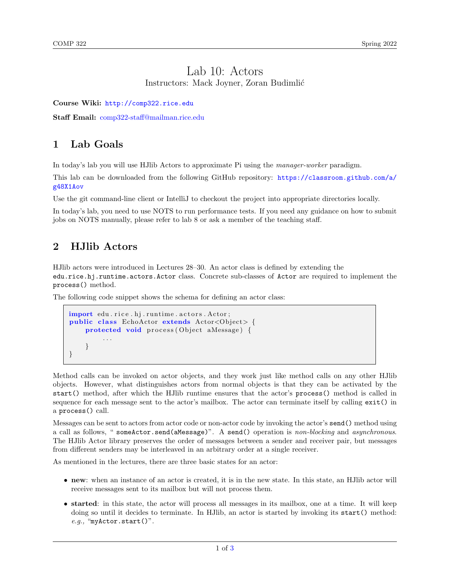### Lab 10: Actors Instructors: Mack Joyner, Zoran Budimlić

Course Wiki: <http://comp322.rice.edu>

Staff Email: [comp322-staff@mailman.rice.edu](mailto:comp322-staff@mailman.rice.edu)

## 1 Lab Goals

In today's lab you will use HJlib Actors to approximate Pi using the manager-worker paradigm.

This lab can be downloaded from the following GitHub repository: [https://classroom.github.com/a/](https://classroom.github.com/a/g48X1Aov) [g48X1Aov](https://classroom.github.com/a/g48X1Aov)

Use the git command-line client or IntelliJ to checkout the project into appropriate directories locally.

In today's lab, you need to use NOTS to run performance tests. If you need any guidance on how to submit jobs on NOTS manually, please refer to lab 8 or ask a member of the teaching staff.

## 2 HJlib Actors

HJlib actors were introduced in Lectures 28–30. An actor class is defined by extending the edu.rice.hj.runtime.actors.Actor class. Concrete sub-classes of Actor are required to implement the process() method.

The following code snippet shows the schema for defining an actor class:

```
import edu.rice.hj.runtime.actors.Actor;
public class EchoActor extends Actor<Object> {
    protected void process (Object aMessage) {
         . . .
    }
}
```
Method calls can be invoked on actor objects, and they work just like method calls on any other HJlib objects. However, what distinguishes actors from normal objects is that they can be activated by the start() method, after which the HJlib runtime ensures that the actor's process() method is called in sequence for each message sent to the actor's mailbox. The actor can terminate itself by calling exit() in a process() call.

Messages can be sent to actors from actor code or non-actor code by invoking the actor's send() method using a call as follows, " someActor.send(aMessage)". A send() operation is non-blocking and asynchronous. The HJlib Actor library preserves the order of messages between a sender and receiver pair, but messages from different senders may be interleaved in an arbitrary order at a single receiver.

As mentioned in the lectures, there are three basic states for an actor:

- new: when an instance of an actor is created, it is in the new state. In this state, an HJlib actor will receive messages sent to its mailbox but will not process them.
- started: in this state, the actor will process all messages in its mailbox, one at a time. It will keep doing so until it decides to terminate. In HJlib, an actor is started by invoking its start() method: e.g., "myActor.start()".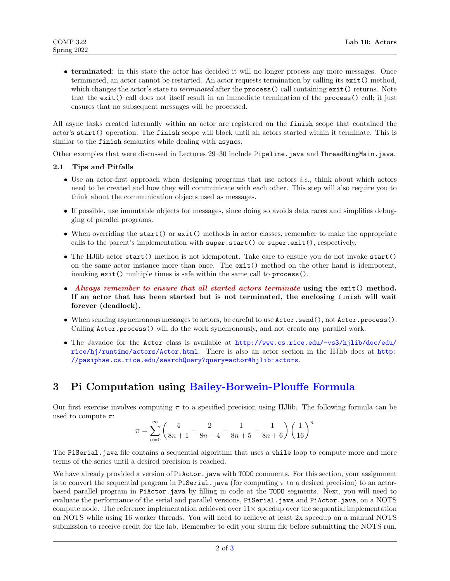• terminated: in this state the actor has decided it will no longer process any more messages. Once terminated, an actor cannot be restarted. An actor requests termination by calling its exit() method, which changes the actor's state to *terminated* after the process() call containing exit() returns. Note that the exit() call does not itself result in an immediate termination of the process() call; it just ensures that no subsequent messages will be processed.

All async tasks created internally within an actor are registered on the finish scope that contained the actor's start() operation. The finish scope will block until all actors started within it terminate. This is similar to the finish semantics while dealing with asyncs.

Other examples that were discussed in Lectures 29–30 include Pipeline.java and ThreadRingMain.java.

#### 2.1 Tips and Pitfalls

- Use an actor-first approach when designing programs that use actors *i.e.*, think about which actors need to be created and how they will communicate with each other. This step will also require you to think about the communication objects used as messages.
- If possible, use immutable objects for messages, since doing so avoids data races and simplifies debugging of parallel programs.
- When overriding the start() or exit() methods in actor classes, remember to make the appropriate calls to the parent's implementation with super.start() or super.exit(), respectively,
- The HJlib actor start() method is not idempotent. Take care to ensure you do not invoke start() on the same actor instance more than once. The exit() method on the other hand is idempotent, invoking exit() multiple times is safe within the same call to process().
- Always remember to ensure that all started actors terminate using the exit() method. If an actor that has been started but is not terminated, the enclosing finish will wait forever (deadlock).
- When sending asynchronous messages to actors, be careful to use Actor.send(), not Actor.process(). Calling Actor.process() will do the work synchronously, and not create any parallel work.
- The Javadoc for the Actor class is available at [http://www.cs.rice.edu/~vs3/hjlib/doc/edu/](http://www.cs.rice.edu/~vs3/hjlib/doc/edu/rice/hj/runtime/actors/Actor.html) [rice/hj/runtime/actors/Actor.html](http://www.cs.rice.edu/~vs3/hjlib/doc/edu/rice/hj/runtime/actors/Actor.html). There is also an actor section in the HJlib docs at [http:](http://pasiphae.cs.rice.edu/searchQuery?query=actor#hjlib-actors) [//pasiphae.cs.rice.edu/searchQuery?query=actor#hjlib-actors](http://pasiphae.cs.rice.edu/searchQuery?query=actor#hjlib-actors).

# 3 Pi Computation using [Bailey-Borwein-Plouffe Formula](http://mathworld.wolfram.com/BBPFormula.html)

Our first exercise involves computing  $\pi$  to a specified precision using HJlib. The following formula can be used to compute  $\pi$ :

$$
\pi = \sum_{n=0}^{\infty} \left( \frac{4}{8n+1} - \frac{2}{8n+4} - \frac{1}{8n+5} - \frac{1}{8n+6} \right) \left( \frac{1}{16} \right)^n
$$

The PiSerial.java file contains a sequential algorithm that uses a while loop to compute more and more terms of the series until a desired precision is reached.

We have already provided a version of PiActor. java with TODO comments. For this section, your assignment is to convert the sequential program in PiSerial.java (for computing  $\pi$  to a desired precision) to an actorbased parallel program in PiActor.java by filling in code at the TODO segments. Next, you will need to evaluate the performance of the serial and parallel versions, PiSerial.java and PiActor.java, on a NOTS compute node. The reference implementation achieved over  $11 \times$  speedup over the sequential implementation on NOTS while using 16 worker threads. You will need to achieve at least 2x speedup on a manual NOTS submission to receive credit for the lab. Remember to edit your slurm file before submitting the NOTS run.